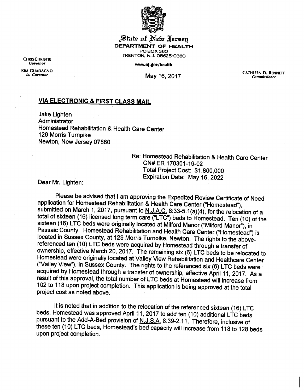

jiiaie **ai** Jfefcr Heresy *DEPARTMENT OF HEALTH* PO BOX 360 TRENTON, N.J. 08625-0360

**Governor** *www.nj.gov/health*

KIMGC"A™N° *ij* ..« n«<-, CATHLEEN D. BENNETT If. **Governor** May "| 6, <sup>2017</sup> **Commissioner**

## *VIA ELECTRONIC & FIRST CLASS MAIL*

Jake Lighten **Administrator** Homestead Rehabilitation & Health Care Center 129 Morris Turnpike Newton, New Jersey 07860

Re: Homestead Rehabilitation & Health Care Center CN#ER 170301-19-02 Total Project Cost: \$1,800,000 Expiration Date: May 16, 2022 Dear Mr. Lighten:

Please be advised that I am approving the Expedited Review Certificate of Need application for Homestead Rehabilitation & Health Care Center ("Homestead"), submitted on March 1, 2017, pursuant to N.J.A.C. 8:33-5.1(a)(4), for the relocation of a total of sixteen (16) licensed long term care ("LTC") beds to Homestead. Ten (10) of the sixteen (16) LTC beds were originally located at Milford Manor ("Milford Manor"), in Passaic County. Homestead Rehabilitation and Health Care Center ("Homestead") is located in Sussex County, at 129 Morris Turnpike, Newton. The rights to the abovereferenced ten (10) LTC beds were acquired by Homestead through a transfer of ownership, effective March 20, 2017. The remaining six (6) LTC beds to be relocated to Homestead were originally located at Valley View Rehabilitation and Healthcare Center ("Valley View"), in Sussex County. The rights to the referenced six (6) LTC beds were acquired by Homestead through a transfer of ownership, effective April 11, 2017. As a result of this approval, the total number ofLTC beds at Homestead will increase from 102 to 118 upon project completion. This application is being approved at the total project cost as noted above.

It is noted that in addition to the relocation of the referenced sixteen (16) LTC beds, Homestead was approved April 11, 2017 to add ten (10) additional LTC beds pursuant to the Add-A-Bed provision of N.J.S.A. 8:39-2.11. Therefore, inclusive of these ten (10) LTC beds, Homestead's bed capacity will increase from 118 to 128 beds upon project completion.

CHRISCHRISTIE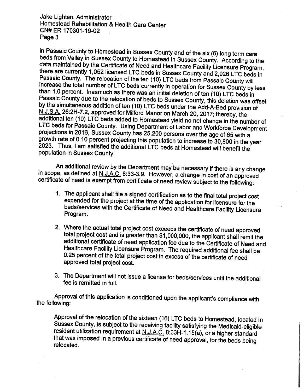Jake Lighten, Administrator Homestead Rehabilitation & Health Care Center CN#ER 170301-19-02 Page 3

in Passaic County to Homestead in Sussex County and of the six (6) long term care beds from Valley in Sussex County to Homestead in Sussex County. According to the data maintained by the Certificate of Need and Healthcare Facility Licensure Program, there are currently 1,052 licensed LTC beds in Sussex County and 2,926 LTC beds in Passaic County. The relocation of the ten (10) LTC beds from Passaic County will increase the total number of LTC beds currently in operation for Sussex County by less than 1.0 percent. Inasmuch as there was an initial deletion of ten (10) LTC beds in Passaic County due to the relocation of beds to Sussex County, this deletion was offset by the simultaneous addition of ten (10) LTC beds under the Add-A-Bed provision of N.J.S.A. 26:2H-7.2, approved for Milford Manor on March 20, 2017; thereby, the additional ten (10) LTC beds added to Homestead yield no net change in the number of<br>LTC beds for Passaic County. Using Department of Labor and Workforce Development projections in 2016, Sussex County has 25,200 persons over the age of 65 with a<br>growth rate of 0.10 percent projecting this population to increase to 30,800 in the year 2023. Thus, I am satisfied the additional LTC beds at Homestead will benefit the population in Sussex County.

An additional review by the Department may be necessary if there is any change in scope, as defined at N.J.A.C. 8:33-3.9. However, a change in cost of an approved certificate of need is exempt from certificate of need review subject to the following:

- 1. The applicant shall file a signed certification as to the final total project cost expended for the project at the time of the application for licensure for the beds/services with the Certificate of Need and Healthcare Facility Licensure Program.
- 2. Where the actual total project cost exceeds the certificate of need approved total project cost and is greater than \$1,000,000, the applicant shall remit the additional certificate of need application fee due to the Certificate of Need and Healthcare Facility Licensure Program. The required additional fee shall be 0.25 percent of the total project cost in excess of the certificate of need approved total project cost.
- 3. The Department will not issue a license for beds/services until the additional fee is remitted in full.

Approval of this application is conditioned upon the applicant's compliance with the following:

Approval of the relocation of the sixteen (16) LTC beds to Homestead, located in<br>Sussex County, is subject to the receiving facility satisfying the Medicaid-eligible resident utilization requirement at N.J.A.C. 8:33H-1.15(a), or a higher standard that was imposed in a previous certificate of need approval, for the beds beinq relocated.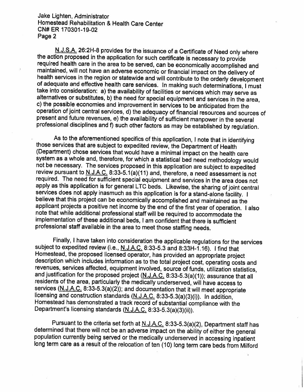Jake Lighten, Administrator Homestead Rehabilitation & Health Care Center CN#ER 170301-19-02 Page 2

N.J.S.A. 26:2H-8 provides for the issuance of a Certificate of Need only where the action proposed in the application for such certificate is necessary to provide required health care in the area to be served, can be economically accomplished and maintained, will not have an adverse economic or financial impact on the delivery of health services in the region or statewide and will contribute to the orderly development of adequate and effective health care services. In making such determinations, Imust take into consideration: a) the availability of facilities or services which may serve as alternatives or substitutes, b) the need for special equipment and services in the area, c) the possible economies and improvement in services to be anticipated from the operation of joint central services, d) the adequacy of financial resources and sources of present and future revenues, e) the availability of sufficient manpower in the several professional disciplines and f) such other factors as may be established by regulation.

As to the aforementioned specifics of this application, I note that in identifying those services that are subject to expedited review, the Department of Health (Department) chose services that would have a minimal impact on the health care system as a whole and, therefore, for which a statistical bed need methodology would not be necessary. The services proposed in this application are subject to expedited review pursuant to  $N.J.A.C.$  8:33-5.1(a)(11) and, therefore, a need assessment is not required. The need for sufficient special equipment and services in the area does not apply asthis application is for general LTC beds. Likewise, the sharing of joint central services does not apply inasmuch as this application is for a stand-alone facility. I believe that this project can be economically accomplished and maintained as the applicant projects a positive net income by the end of the first year of operation. Ialso note that while additional professional staffwill be required to accommodate the implementation of these additional beds, I am confident that there is sufficient professional staff available in the area to meet those staffing needs.

Finally, Ihave taken into consideration the applicable regulations for the services subject to expedited review (i.e., N.J.A.C. 8:33-5.3 and 8:33H-1.16). I find that<br>Homestead, the proposed licensed operator, has provided an appropriate project description which includes information as to the total project cost, operating costs and revenues, services affected, equipment involved, source of funds, utilization statistics, and justification for the proposed project  $(N. J.A.C. 8.33-5.3(a)(1))$ ; assurance that all residents of the area, particularly the medically underserved, will have access to services (N.J.A.C. 8:33-5.3(a)(2)); and documentation that it will meet appropriate licensing and construction standards (N.J.A.C. 8:33-5.3(a)(3)(i)). In addition, Homestead has demonstrated a track record of substantial compliance with the Department's licensing standards (N.J.A.C. 8:33-5.3(a)(3)(ii)).

Pursuant to the criteria set forth at N.J.A.C. 8:33-5.3(a)(2), Department staff has determined that there will not be an adverse impact on the ability of either the general population currently being served or the medically underserved in accessing inpatient long term care as a result of the relocation of ten (10) long term care beds from Milford